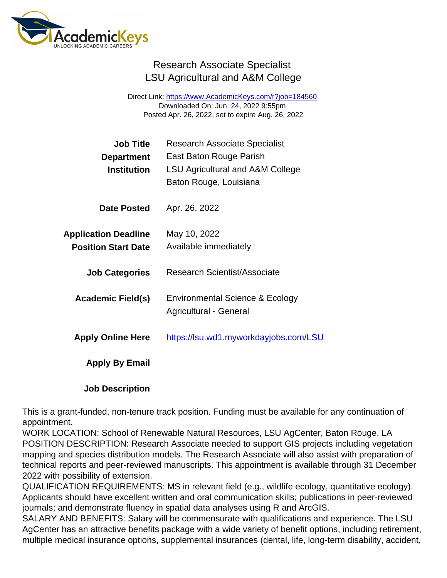## Research Associate Specialist LSU Agricultural and A&M College

Direct Link: <https://www.AcademicKeys.com/r?job=184560> Downloaded On: Jun. 24, 2022 9:55pm Posted Apr. 26, 2022, set to expire Aug. 26, 2022

| Job Title                   | <b>Research Associate Specialist</b>        |
|-----------------------------|---------------------------------------------|
| Department                  | East Baton Rouge Parish                     |
| Institution                 | <b>LSU Agricultural and A&amp;M College</b> |
|                             | Baton Rouge, Louisiana                      |
| Date Posted                 | Apr. 26, 2022                               |
| <b>Application Deadline</b> | May 10, 2022                                |
| <b>Position Start Date</b>  | Available immediately                       |
|                             |                                             |
| <b>Job Categories</b>       | <b>Research Scientist/Associate</b>         |
|                             |                                             |
| Academic Field(s)           | Environmental Science & Ecology             |
|                             | Agricultural - General                      |
| <b>Apply Online Here</b>    | https://lsu.wd1.myworkdayjobs.com/LSU       |
|                             |                                             |
| Apply By Email              |                                             |
|                             |                                             |
|                             |                                             |

Job Description

This is a grant-funded, non-tenure track position. Funding must be available for any continuation of appointment.

WORK LOCATION: School of Renewable Natural Resources, LSU AgCenter, Baton Rouge, LA POSITION DESCRIPTION: Research Associate needed to support GIS projects including vegetation mapping and species distribution models. The Research Associate will also assist with preparation of technical reports and peer-reviewed manuscripts. This appointment is available through 31 December 2022 with possibility of extension.

QUALIFICATION REQUIREMENTS: MS in relevant field (e.g., wildlife ecology, quantitative ecology). Applicants should have excellent written and oral communication skills; publications in peer-reviewed journals; and demonstrate fluency in spatial data analyses using R and ArcGIS.

SALARY AND BENEFITS: Salary will be commensurate with qualifications and experience. The LSU AgCenter has an attractive benefits package with a wide variety of benefit options, including retirement, multiple medical insurance options, supplemental insurances (dental, life, long-term disability, accident,